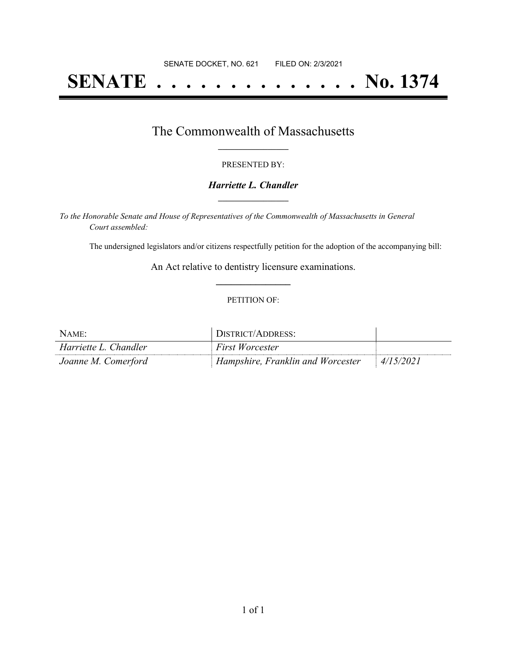# **SENATE . . . . . . . . . . . . . . No. 1374**

### The Commonwealth of Massachusetts **\_\_\_\_\_\_\_\_\_\_\_\_\_\_\_\_\_**

#### PRESENTED BY:

#### *Harriette L. Chandler* **\_\_\_\_\_\_\_\_\_\_\_\_\_\_\_\_\_**

*To the Honorable Senate and House of Representatives of the Commonwealth of Massachusetts in General Court assembled:*

The undersigned legislators and/or citizens respectfully petition for the adoption of the accompanying bill:

An Act relative to dentistry licensure examinations. **\_\_\_\_\_\_\_\_\_\_\_\_\_\_\_**

#### PETITION OF:

| NAME:                 | DISTRICT/ADDRESS:                 |           |
|-----------------------|-----------------------------------|-----------|
| Harriette L. Chandler | First Worcester                   |           |
| Joanne M. Comerford   | Hampshire, Franklin and Worcester | 4/15/2021 |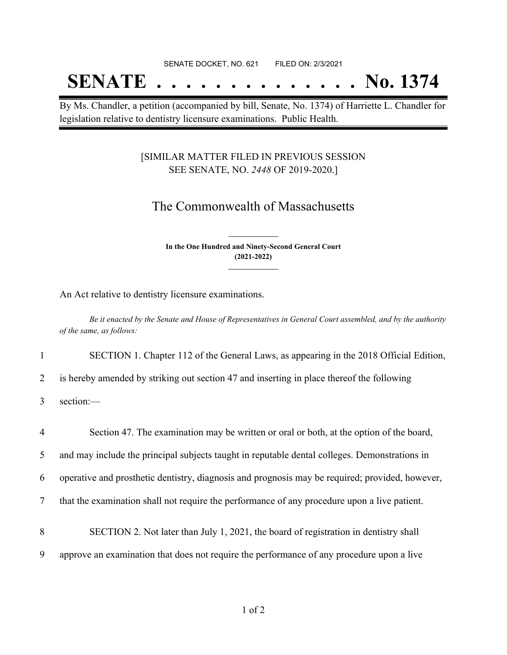#### SENATE DOCKET, NO. 621 FILED ON: 2/3/2021

## **SENATE . . . . . . . . . . . . . . No. 1374**

By Ms. Chandler, a petition (accompanied by bill, Senate, No. 1374) of Harriette L. Chandler for legislation relative to dentistry licensure examinations. Public Health.

#### [SIMILAR MATTER FILED IN PREVIOUS SESSION SEE SENATE, NO. *2448* OF 2019-2020.]

## The Commonwealth of Massachusetts

**In the One Hundred and Ninety-Second General Court (2021-2022) \_\_\_\_\_\_\_\_\_\_\_\_\_\_\_**

**\_\_\_\_\_\_\_\_\_\_\_\_\_\_\_**

An Act relative to dentistry licensure examinations.

Be it enacted by the Senate and House of Representatives in General Court assembled, and by the authority *of the same, as follows:*

1 SECTION 1. Chapter 112 of the General Laws, as appearing in the 2018 Official Edition,

2 is hereby amended by striking out section 47 and inserting in place thereof the following

3 section:—

 Section 47. The examination may be written or oral or both, at the option of the board, and may include the principal subjects taught in reputable dental colleges. Demonstrations in operative and prosthetic dentistry, diagnosis and prognosis may be required; provided, however, that the examination shall not require the performance of any procedure upon a live patient. SECTION 2. Not later than July 1, 2021, the board of registration in dentistry shall approve an examination that does not require the performance of any procedure upon a live